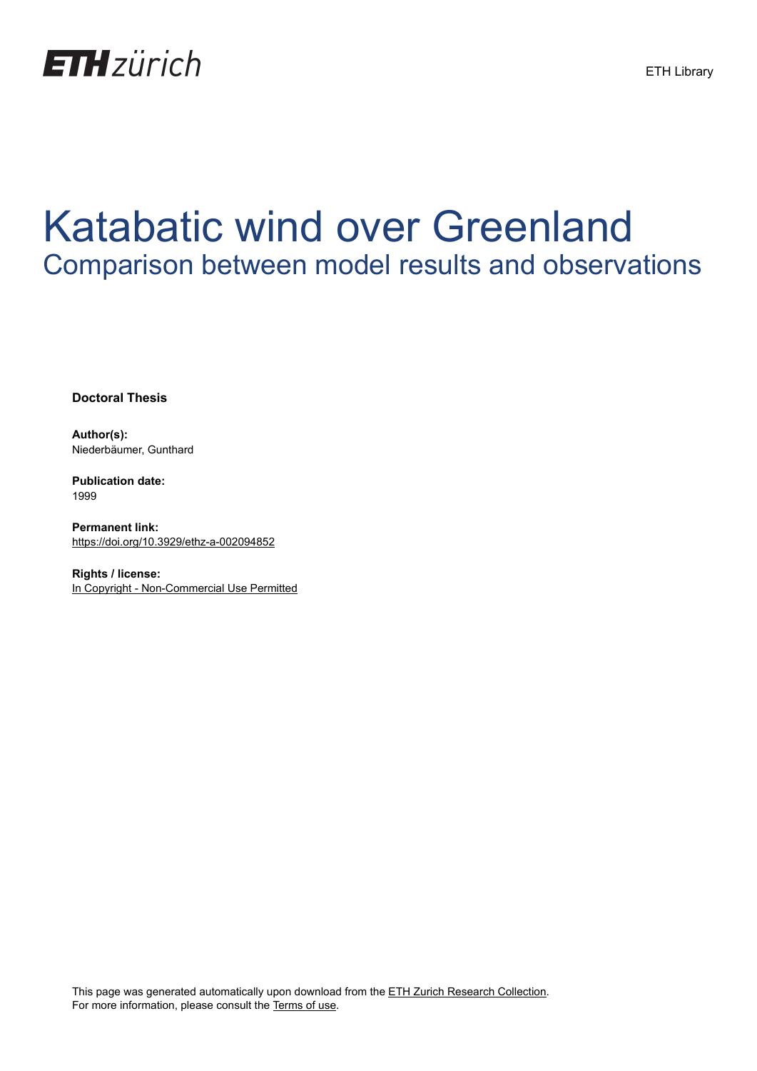

# Katabatic wind over Greenland Comparison between model results and observations

**Doctoral Thesis**

**Author(s):** Niederbäumer, Gunthard

**Publication date:** 1999

**Permanent link:** <https://doi.org/10.3929/ethz-a-002094852>

**Rights / license:** [In Copyright - Non-Commercial Use Permitted](http://rightsstatements.org/page/InC-NC/1.0/)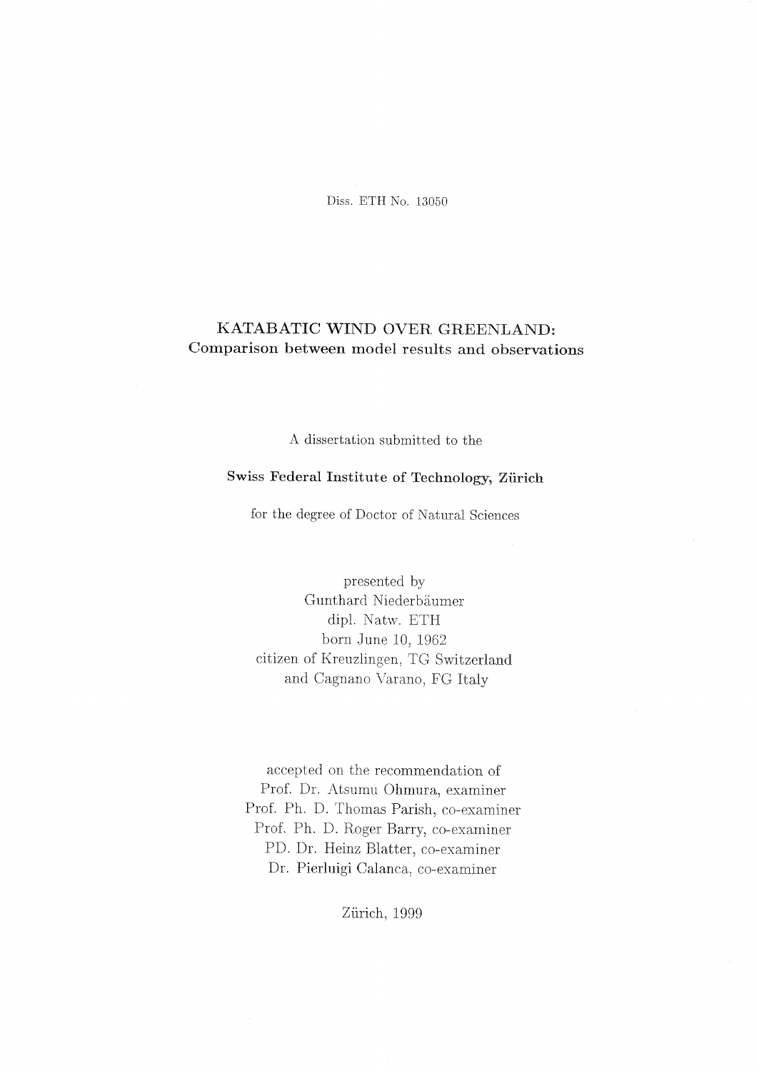Diss. ETH No. <sup>13050</sup>

## KATABATIC WIND OVER GREENLAND: Comparison between model results and observations

A dissertation submitted to the

## Swiss Federal Institute of Technology, Zürich

for the degree of Doctor of Natural Sciences

presented by Gunthard Niederbäumer dipl. Natw. ETH born June 10, 1962 citizen of Kreuzlingen, TG Switzerland and Cagnano Varano, FG Italy

accepted on the recommendation of Prof. Dr. Atsumu Ohmura, examiner Prof. Ph. D. Thomas Parish, co-examiner Prof. Ph. D. Roger Barry, co-examiner PI). Dr. Heinz Blatter, co-examiner Dr. Pierluigi Galanca, co-examiner

Zürich, 1999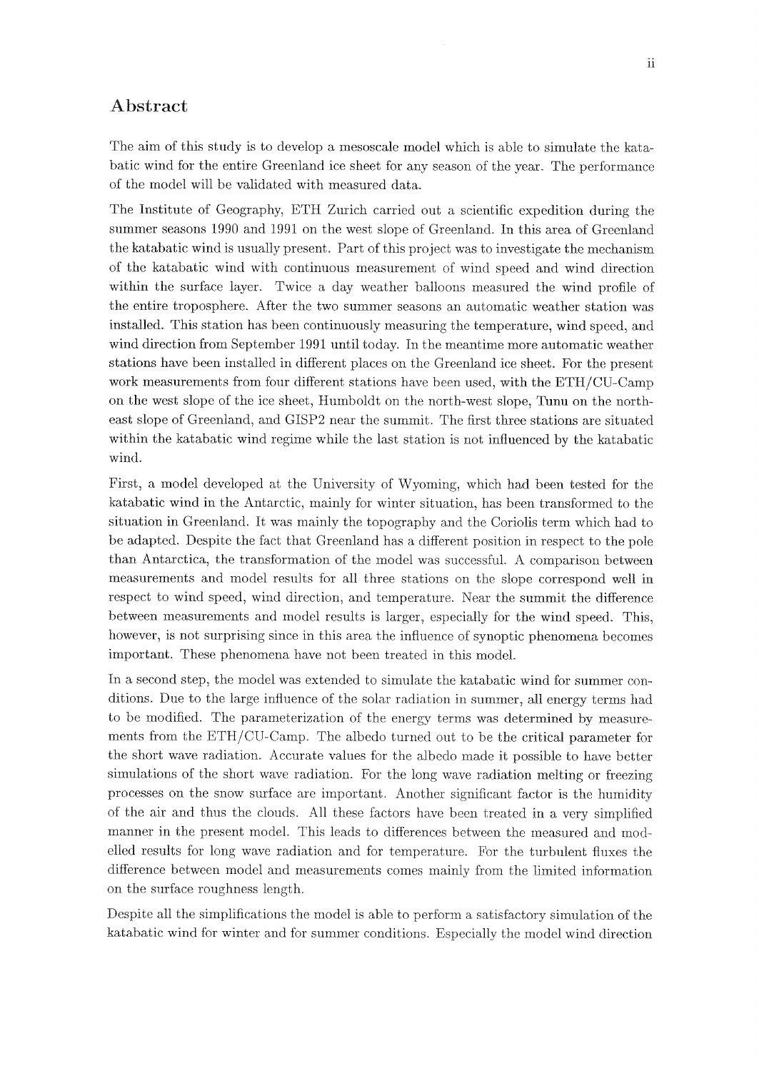#### Abstract

The aim of this study is to develop a mesoscale model which is able to simulate the katabatic wind for the entire Greenland ice sheet for any season of the year. The performance of the model will be validated with measured data.

The Institute of Geography, ETH Zürich carried out <sup>a</sup> scientific expedition during the summer seasons 1990 and <sup>1991</sup> on the west slope of Greenland. In this area of Greenland the katabatic wind is usually present. Part of this project was to investigate the mechanism of the katabatic wind with continuous measurement of wind speed and wind direction within the surface layer. Twice a day weather balloons measured the wind profile of the entire troposphere. After the two summer seasons an automatic weather station was installed. This station has been continuously measuring the temperature, wind speed, and wind direction from September 1991 until today. In the meantime more automatic weather stations have been installedin different places on the Greenland ice sheet. For the present work measurements from four different stations have been used, with the ETH/CU-Camp on the west slope of the ice sheet, Humboldt on the north-westslope, Tunuon the northeast slope of Greenland, and GISP2 near the summit. The first three stations are situated within the katabatic wind regime while the last station is not influenced by the katabatic wind.

First, <sup>a</sup> model developed at the University of Wyoming, which had been tested for the katabatic wind in the Antarctic, mainly for winter situation, has been transformed to the Situation in Greenland. It was mainly the topography and the Coriolis term which had to be adapted. Despite the fact that Greenland has a different position in respect to the pole than Antarctica, the transformation of the model was successful. A comparison between measurements and model results for all three stations on the slope correspond well in respect to wind speed, wind direction, and temperature. Near the summit the difference between measurements and model results is larger, especially for the wind speed. This, however, is not surprising since in this area the influence of synoptic phenomena becomes important. These phenomena have not been treated in this model.

In a second step, the model was extended to simulate the katabatic wind for summer conditions. Due to the large influence of the solar radiation in summer, all energy terms had to be modified. The parameterization of the energy terms was determined by measurements from the ETH/CU-Camp. The albedo tumed out to be the critical parameter for the short wave radiation. Accurate values for the albedo made it possible to have better simulations of the short wave radiation. For the long wave radiation melting or freezing processes on the snow surface are important. Another significant factor is the humidity of the air and thus the clouds. All these factors have been treated in a very simplified manner in the present model. This leads to differences between the measured and modelled results for long wave radiation and for temperature. For the turbulent fluxes the difference between model and measurements comes mainly from the limited information on the surface roughness length.

Despite all the simplifications the model is able to perform a satisfactory simulation of the katabatic wind for winter and for summer conditions. Especially the model wind direction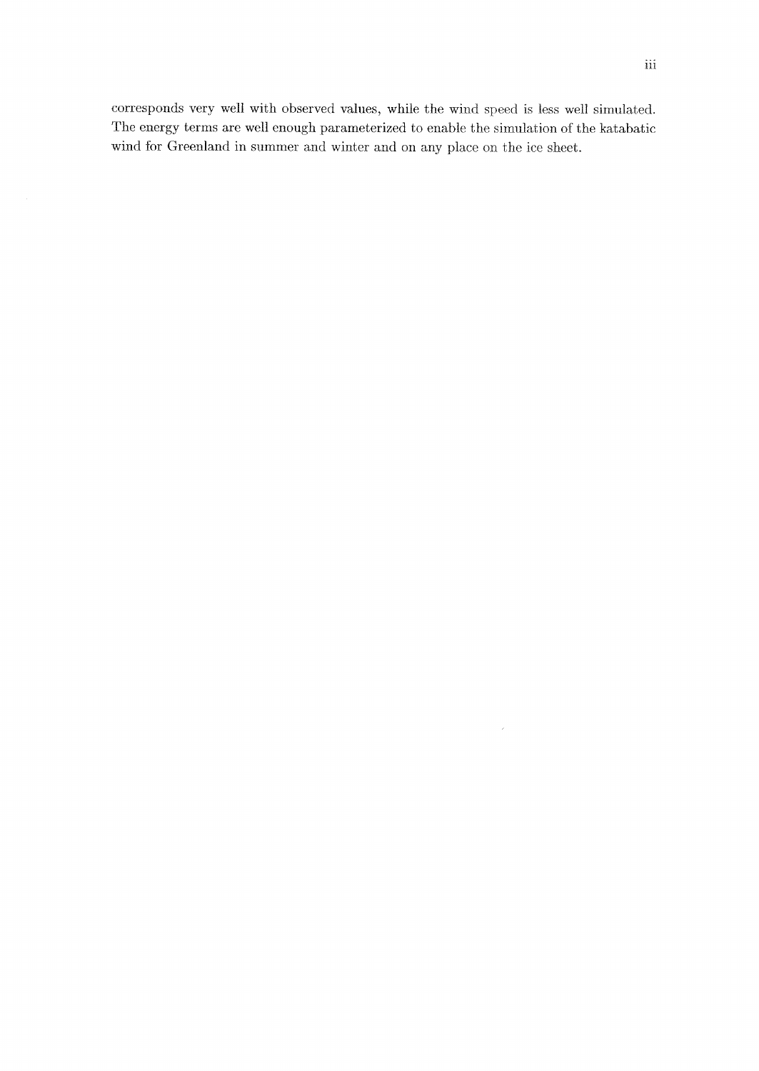corresponds very well with observed values, while the wind speed is less well simulated. The energy terms are well enough parameterized to enable the simulation of the katabatic wind for Greenland in summer and winter and on any place on the ice sheet.

 $\sim$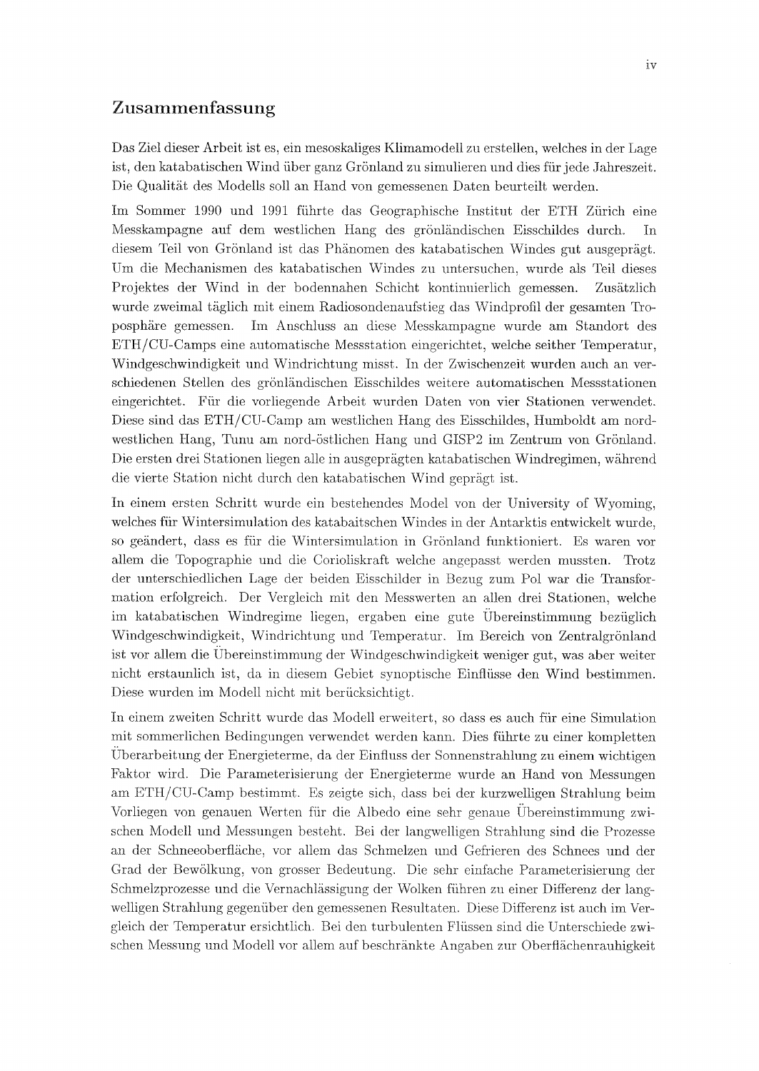### Zusammenfassung

Das Ziel dieser Arbeit ist es, ein mesoskaliges Klimamodellzu erstellen, welchesin der Lage ist, den katabatischenWind über ganz Grönlandzu simulieren und dies für jede Jahreszeit. Die Qualität des Modells soll an Hand von gemessenen Daten beurteilt werden.

Im Sommer <sup>1990</sup> und <sup>1991</sup> führte das Geographische Institut der ETH Zürich eine Messkampagne auf dem westlichen Hang des grönländischen Eisschildes durch. In diesem Teil von Grönland ist das Phänomen des katabatischenWindes gut ausgeprägt. Um die Mechanismen des katabatischen Windes zu untersuchen, wurde als Teil dieses Projektes der Wind in der bodennahen Schicht kontinuierlich gemessen. Zusätzlich wurde zweimal täglich mit einem Radiosondenaufstieg das Windprofil der gesamten Troposphäre gemessen. Im Anschluss an diese Messkampagne wurde am Standort des ETH/CU-Camps eine automatische Messstation eingerichtet, welche seither Temperatur, Windgeschwindigkeit und Windrichtung misst. In der Zwischenzeit wurden auch an verschiedenen Stellen des grönländischen Eisschildes weitere automatischen Messstationen eingerichtet. Für die vorliegende Arbeit wurden Daten von vier Stationen verwendet. Diese sind das ETH/CU-Camp am westlichen Hang des Eisschildes, Humboldt am nord westlichen Hang, Tunu am nord-östlichen Hang und GISP2 im Zentrum von Grönland. Die ersten drei Stationen liegen alle in ausgeprägten katabatischen Windregimen, während die vierte Station nicht durch den katabatischenWind geprägt ist.

In einem ersten Schritt wurde ein bestehendes Model von der University of Wyoming, welches für Wintersimulation des katabaitschen Windes in der Antarktis entwickelt wurde, so geändert, dass es für die Wintersimulation in Grönland funktioniert. Es waren vor allem die Topographie und die Corioliskraft welche angepasst werden mussten. Trotz der unterschiedlichen Lage der beiden Eisschilder in Bezug zum Pol war die Transfor mation erfolgreich. Der Vergleich mit den Messwerten an allen drei Stationen, welche im katabatischen Windregime liegen, ergaben eine gute Übereinstimmung bezüglich Windgeschwindigkeit, Windrichtung und Temperatur. Im Bereich von Zentralgrönland ist vor allem die Übereinstimmung der Windgeschwindigkeit weniger gut, was aber weiter nicht erstaunlich ist, da in diesem Gebiet synoptische Einflüsse den Wind bestimmen. Diese wurden im Modell nicht mit berücksichtigt.

In einem zweiten Schritt wurde das Modell erweitert, so dass es auch für eine Simulation mit sommerlichen Bedingungenverwendet werden kann. Dies führte zu einer kompletten Uberarbeitung der Energieterme, da der Einfluss der Sonnenstrahlung zu einem wichtigen Faktor wird. Die Parameterisierung der Energieterme wurde an Hand von Messungen am ETH/CU-Camp bestimmt. Es zeigte sich, dass bei der kurzwelligen Strahlung beim Vorliegen von genauen Werten für die Albedo eine sehr genaue Übereinstimmung zwischen Modell und Messungen besteht. Bei der langwelligen Strahlung sind die Prozesse an der Schneeoberfläche, vor allem das Schmelzen und Gefrieren des Schnees und der Grad der Bewölkung, von grosser Bedeutung. Die sehr einfache Parameterisierung der Schmelzprozesse und die Vernachlässigung der Wolken führen zu einer Differenz der langwelligen Strahlung gegenüber den gemessenen Resultaten. Diese Differenz ist auch im Ver gleich der Temperatur ersichtlich. Bei den turbulenten Flüssen sind die Unterschiede zwischen Messung und Modell vor allem auf beschränkte Angaben zur Oberflächenrauhigkeit